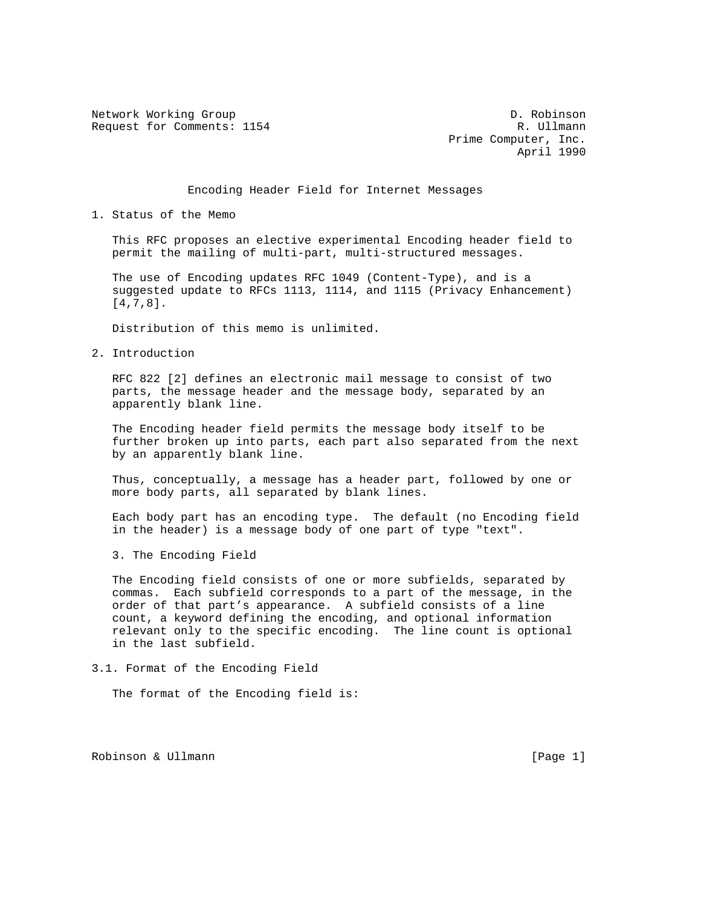Network Working Group D. Robinson Request for Comments: 1154 R. Ullmann

 Prime Computer, Inc. April 1990

Encoding Header Field for Internet Messages

### 1. Status of the Memo

 This RFC proposes an elective experimental Encoding header field to permit the mailing of multi-part, multi-structured messages.

 The use of Encoding updates RFC 1049 (Content-Type), and is a suggested update to RFCs 1113, 1114, and 1115 (Privacy Enhancement) [4,7,8].

Distribution of this memo is unlimited.

2. Introduction

 RFC 822 [2] defines an electronic mail message to consist of two parts, the message header and the message body, separated by an apparently blank line.

 The Encoding header field permits the message body itself to be further broken up into parts, each part also separated from the next by an apparently blank line.

 Thus, conceptually, a message has a header part, followed by one or more body parts, all separated by blank lines.

 Each body part has an encoding type. The default (no Encoding field in the header) is a message body of one part of type "text".

3. The Encoding Field

 The Encoding field consists of one or more subfields, separated by commas. Each subfield corresponds to a part of the message, in the order of that part's appearance. A subfield consists of a line count, a keyword defining the encoding, and optional information relevant only to the specific encoding. The line count is optional in the last subfield.

3.1. Format of the Encoding Field

The format of the Encoding field is:

Robinson & Ullmann (Page 1)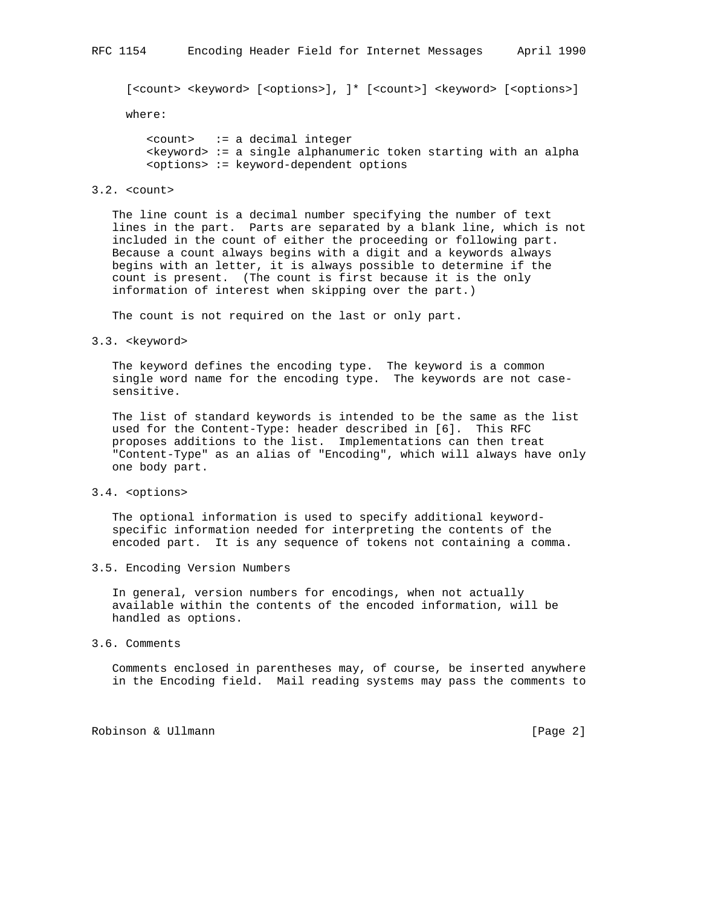[<count> <keyword> [<options>], ]\* [<count>] <keyword> [<options>]

where:

 <count> := a decimal integer <keyword> := a single alphanumeric token starting with an alpha <options> := keyword-dependent options

### 3.2. <count>

 The line count is a decimal number specifying the number of text lines in the part. Parts are separated by a blank line, which is not included in the count of either the proceeding or following part. Because a count always begins with a digit and a keywords always begins with an letter, it is always possible to determine if the count is present. (The count is first because it is the only information of interest when skipping over the part.)

The count is not required on the last or only part.

3.3. <keyword>

 The keyword defines the encoding type. The keyword is a common single word name for the encoding type. The keywords are not case sensitive.

 The list of standard keywords is intended to be the same as the list used for the Content-Type: header described in [6]. This RFC proposes additions to the list. Implementations can then treat "Content-Type" as an alias of "Encoding", which will always have only one body part.

3.4. <options>

 The optional information is used to specify additional keyword specific information needed for interpreting the contents of the encoded part. It is any sequence of tokens not containing a comma.

3.5. Encoding Version Numbers

 In general, version numbers for encodings, when not actually available within the contents of the encoded information, will be handled as options.

3.6. Comments

 Comments enclosed in parentheses may, of course, be inserted anywhere in the Encoding field. Mail reading systems may pass the comments to

Robinson & Ullmann **contracts** and the contracts of the contracts of  $[Page 2]$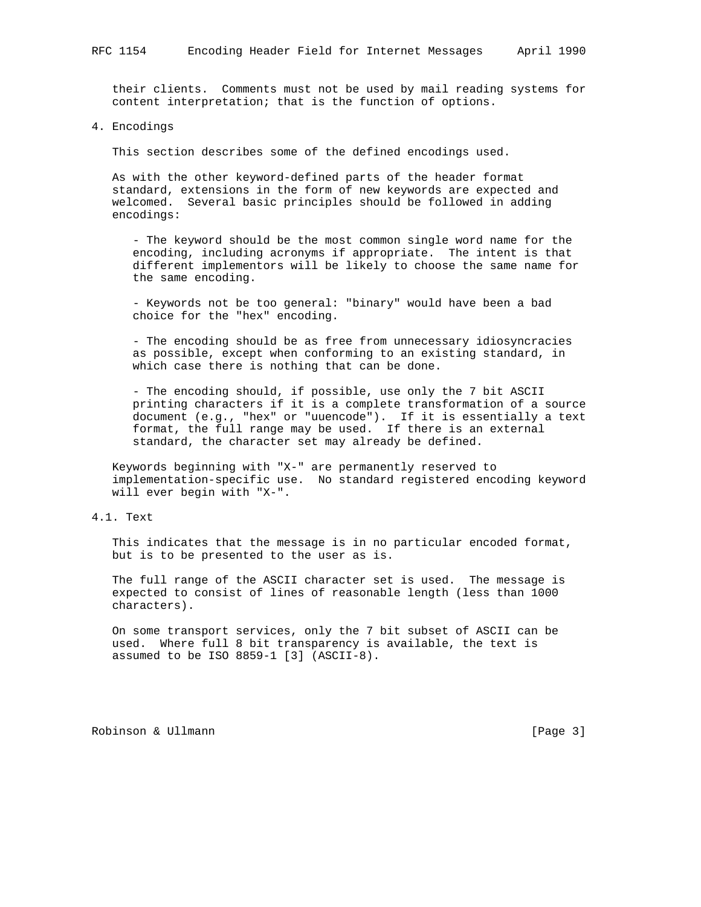their clients. Comments must not be used by mail reading systems for content interpretation; that is the function of options.

4. Encodings

This section describes some of the defined encodings used.

 As with the other keyword-defined parts of the header format standard, extensions in the form of new keywords are expected and welcomed. Several basic principles should be followed in adding encodings:

 - The keyword should be the most common single word name for the encoding, including acronyms if appropriate. The intent is that different implementors will be likely to choose the same name for the same encoding.

 - Keywords not be too general: "binary" would have been a bad choice for the "hex" encoding.

 - The encoding should be as free from unnecessary idiosyncracies as possible, except when conforming to an existing standard, in which case there is nothing that can be done.

 - The encoding should, if possible, use only the 7 bit ASCII printing characters if it is a complete transformation of a source document (e.g., "hex" or "uuencode"). If it is essentially a text format, the full range may be used. If there is an external standard, the character set may already be defined.

 Keywords beginning with "X-" are permanently reserved to implementation-specific use. No standard registered encoding keyword will ever begin with "X-".

# 4.1. Text

 This indicates that the message is in no particular encoded format, but is to be presented to the user as is.

 The full range of the ASCII character set is used. The message is expected to consist of lines of reasonable length (less than 1000 characters).

 On some transport services, only the 7 bit subset of ASCII can be used. Where full 8 bit transparency is available, the text is assumed to be ISO 8859-1 [3] (ASCII-8).

Robinson & Ullmann **contracts** and the contracts of the contracts of the contracts of  $[Page 3]$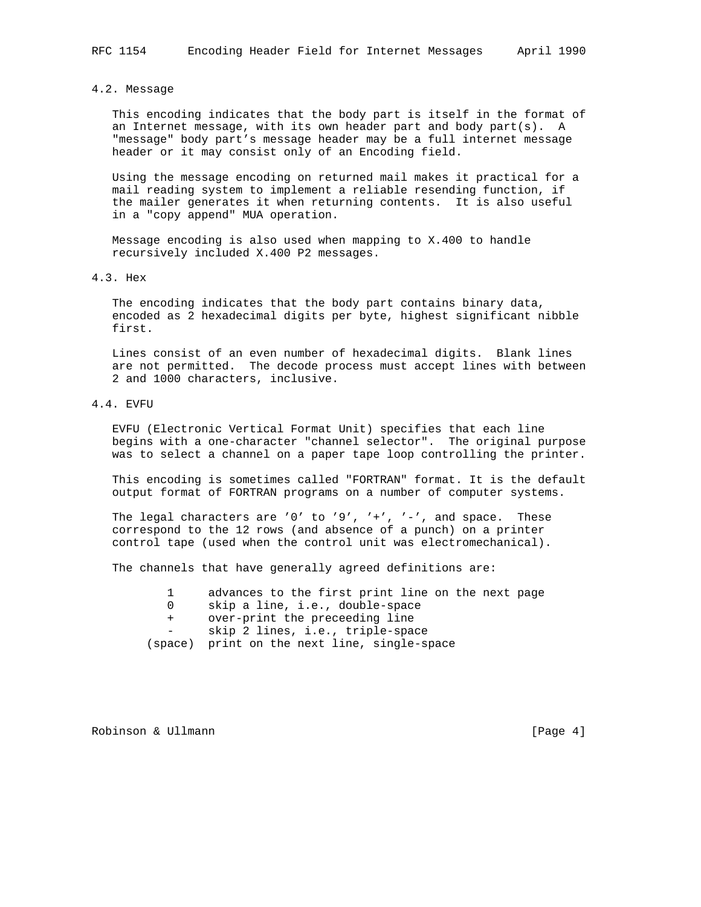### 4.2. Message

 This encoding indicates that the body part is itself in the format of an Internet message, with its own header part and body part(s). A "message" body part's message header may be a full internet message header or it may consist only of an Encoding field.

 Using the message encoding on returned mail makes it practical for a mail reading system to implement a reliable resending function, if the mailer generates it when returning contents. It is also useful in a "copy append" MUA operation.

 Message encoding is also used when mapping to X.400 to handle recursively included X.400 P2 messages.

4.3. Hex

 The encoding indicates that the body part contains binary data, encoded as 2 hexadecimal digits per byte, highest significant nibble first.

 Lines consist of an even number of hexadecimal digits. Blank lines are not permitted. The decode process must accept lines with between 2 and 1000 characters, inclusive.

## 4.4. EVFU

 EVFU (Electronic Vertical Format Unit) specifies that each line begins with a one-character "channel selector". The original purpose was to select a channel on a paper tape loop controlling the printer.

 This encoding is sometimes called "FORTRAN" format. It is the default output format of FORTRAN programs on a number of computer systems.

The legal characters are '0' to '9', '+', '-', and space. These correspond to the 12 rows (and absence of a punch) on a printer control tape (used when the control unit was electromechanical).

The channels that have generally agreed definitions are:

|  | advances to the first print line on the next page |  |  |  |  |  |  |  |  |  |
|--|---------------------------------------------------|--|--|--|--|--|--|--|--|--|
|--|---------------------------------------------------|--|--|--|--|--|--|--|--|--|

- 0 skip a line, i.e., double-space
- + over-print the preceeding line

- skip 2 lines, i.e., triple-space

Robinson & Ullmann and the contract of the contract of the contract of the contract of the contract of the contract of the contract of the contract of the contract of the contract of the contract of the contract of the con

 <sup>(</sup>space) print on the next line, single-space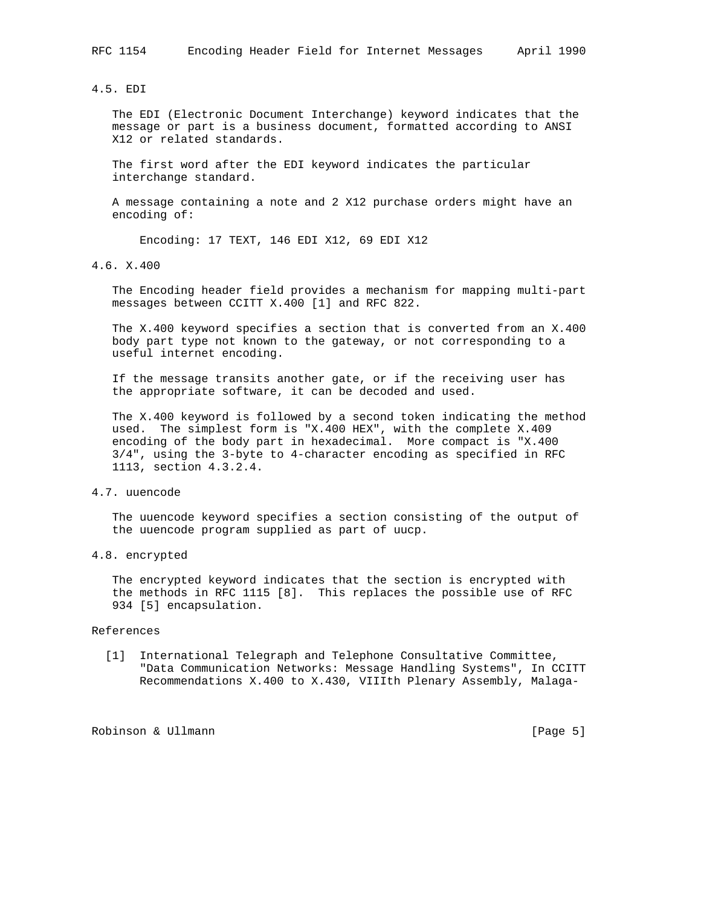4.5. EDI

 The EDI (Electronic Document Interchange) keyword indicates that the message or part is a business document, formatted according to ANSI X12 or related standards.

 The first word after the EDI keyword indicates the particular interchange standard.

 A message containing a note and 2 X12 purchase orders might have an encoding of:

Encoding: 17 TEXT, 146 EDI X12, 69 EDI X12

4.6. X.400

 The Encoding header field provides a mechanism for mapping multi-part messages between CCITT X.400 [1] and RFC 822.

 The X.400 keyword specifies a section that is converted from an X.400 body part type not known to the gateway, or not corresponding to a useful internet encoding.

 If the message transits another gate, or if the receiving user has the appropriate software, it can be decoded and used.

 The X.400 keyword is followed by a second token indicating the method used. The simplest form is "X.400 HEX", with the complete X.409 encoding of the body part in hexadecimal. More compact is "X.400 3/4", using the 3-byte to 4-character encoding as specified in RFC 1113, section 4.3.2.4.

4.7. uuencode

 The uuencode keyword specifies a section consisting of the output of the uuencode program supplied as part of uucp.

4.8. encrypted

 The encrypted keyword indicates that the section is encrypted with the methods in RFC 1115 [8]. This replaces the possible use of RFC 934 [5] encapsulation.

#### References

 [1] International Telegraph and Telephone Consultative Committee, "Data Communication Networks: Message Handling Systems", In CCITT Recommendations X.400 to X.430, VIIIth Plenary Assembly, Malaga-

Robinson & Ullmann [Page 5]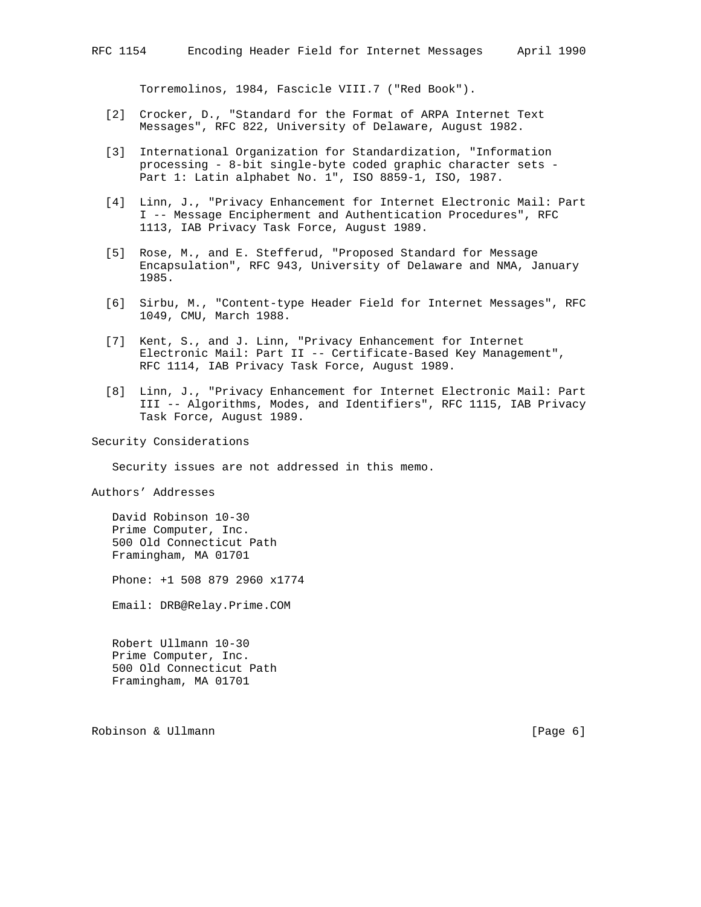Torremolinos, 1984, Fascicle VIII.7 ("Red Book").

- [2] Crocker, D., "Standard for the Format of ARPA Internet Text Messages", RFC 822, University of Delaware, August 1982.
- [3] International Organization for Standardization, "Information processing - 8-bit single-byte coded graphic character sets - Part 1: Latin alphabet No. 1", ISO 8859-1, ISO, 1987.
- [4] Linn, J., "Privacy Enhancement for Internet Electronic Mail: Part I -- Message Encipherment and Authentication Procedures", RFC 1113, IAB Privacy Task Force, August 1989.
- [5] Rose, M., and E. Stefferud, "Proposed Standard for Message Encapsulation", RFC 943, University of Delaware and NMA, January 1985.
- [6] Sirbu, M., "Content-type Header Field for Internet Messages", RFC 1049, CMU, March 1988.
- [7] Kent, S., and J. Linn, "Privacy Enhancement for Internet Electronic Mail: Part II -- Certificate-Based Key Management", RFC 1114, IAB Privacy Task Force, August 1989.
- [8] Linn, J., "Privacy Enhancement for Internet Electronic Mail: Part III -- Algorithms, Modes, and Identifiers", RFC 1115, IAB Privacy Task Force, August 1989.

Security Considerations

Security issues are not addressed in this memo.

Authors' Addresses

 David Robinson 10-30 Prime Computer, Inc. 500 Old Connecticut Path Framingham, MA 01701

Phone: +1 508 879 2960 x1774

Email: DRB@Relay.Prime.COM

 Robert Ullmann 10-30 Prime Computer, Inc. 500 Old Connecticut Path Framingham, MA 01701

Robinson & Ullmann **contracts** and the contracts of the contracts of  $[Page 6]$